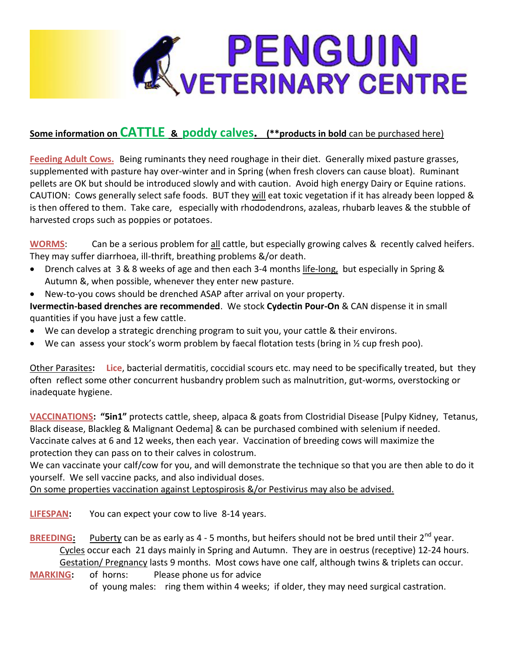

# **Some information on CATTLE & poddy calves. (\*\*products in bold** can be purchased here)

**Feeding Adult Cows.** Being ruminants they need roughage in their diet. Generally mixed pasture grasses, supplemented with pasture hay over-winter and in Spring (when fresh clovers can cause bloat). Ruminant pellets are OK but should be introduced slowly and with caution. Avoid high energy Dairy or Equine rations. CAUTION: Cows generally select safe foods. BUT they will eat toxic vegetation if it has already been lopped & is then offered to them. Take care, especially with rhododendrons, azaleas, rhubarb leaves & the stubble of harvested crops such as poppies or potatoes.

WORMS: Can be a serious problem for all cattle, but especially growing calves & recently calved heifers. They may suffer diarrhoea, ill-thrift, breathing problems &/or death.

- Drench calves at 3 & 8 weeks of age and then each 3-4 months life-long, but especially in Spring & Autumn &, when possible, whenever they enter new pasture.
- New-to-you cows should be drenched ASAP after arrival on your property.

**Ivermectin-based drenches are recommended**. We stock **Cydectin Pour-On** & CAN dispense it in small quantities if you have just a few cattle.

- We can develop a strategic drenching program to suit you, your cattle & their environs.
- We can assess your stock's worm problem by faecal flotation tests (bring in  $\frac{1}{2}$  cup fresh poo).

Other Parasites**: Lice**, bacterial dermatitis, coccidial scours etc. may need to be specifically treated, but they often reflect some other concurrent husbandry problem such as malnutrition, gut-worms, overstocking or inadequate hygiene.

**VACCINATIONS: "5in1"** protects cattle, sheep, alpaca & goats from Clostridial Disease [Pulpy Kidney, Tetanus, Black disease, Blackleg & Malignant Oedema] & can be purchased combined with selenium if needed. Vaccinate calves at 6 and 12 weeks, then each year. Vaccination of breeding cows will maximize the protection they can pass on to their calves in colostrum.

We can vaccinate your calf/cow for you, and will demonstrate the technique so that you are then able to do it yourself. We sell vaccine packs, and also individual doses.

On some properties vaccination against Leptospirosis &/or Pestivirus may also be advised.

**LIFESPAN:** You can expect your cow to live 8-14 years.

- **BREEDING:** Puberty can be as early as 4 5 months, but heifers should not be bred until their 2<sup>nd</sup> year. Cycles occur each 21 days mainly in Spring and Autumn. They are in oestrus (receptive) 12-24 hours. Gestation/ Pregnancy lasts 9 months. Most cows have one calf, although twins & triplets can occur.
- **MARKING:** of horns: Please phone us for advice of young males: ring them within 4 weeks; if older, they may need surgical castration.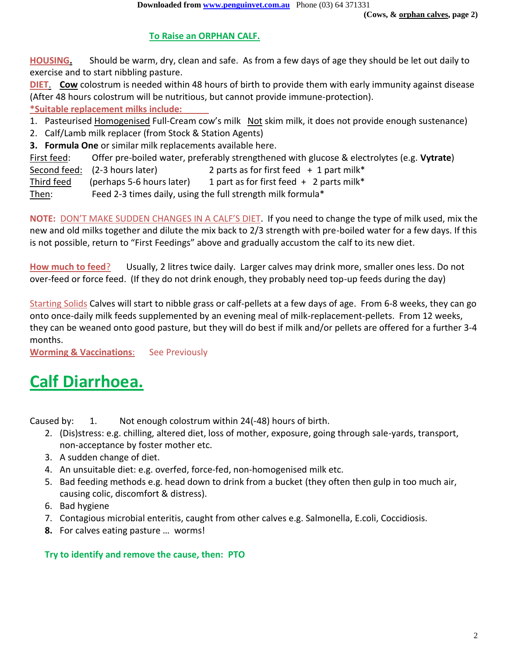# **To Raise an ORPHAN CALF.**

**HOUSING.** Should be warm, dry, clean and safe. As from a few days of age they should be let out daily to exercise and to start nibbling pasture.

**DIET**. **Cow** colostrum is needed within 48 hours of birth to provide them with early immunity against disease (After 48 hours colostrum will be nutritious, but cannot provide immune-protection).

**\*Suitable replacement milks include:**

1. Pasteurised Homogenised Full-Cream cow's milk Not skim milk, it does not provide enough sustenance)

2. Calf/Lamb milk replacer (from Stock & Station Agents)

**3. Formula One** or similar milk replacements available here.

First feed: Offer pre-boiled water, preferably strengthened with glucose & electrolytes (e.g. **Vytrate**) Second feed: (2-3 hours later) 2 parts as for first feed + 1 part milk\* Third feed (perhaps 5-6 hours later) 1 part as for first feed  $+$  2 parts milk\* Then: Feed 2-3 times daily, using the full strength milk formula\*

**NOTE:** DON'T MAKE SUDDEN CHANGES IN A CALF'S DIET. If you need to change the type of milk used, mix the new and old milks together and dilute the mix back to 2/3 strength with pre-boiled water for a few days. If this is not possible, return to "First Feedings" above and gradually accustom the calf to its new diet.

**How much to feed**? Usually, 2 litres twice daily. Larger calves may drink more, smaller ones less. Do not over-feed or force feed. (If they do not drink enough, they probably need top-up feeds during the day)

Starting Solids Calves will start to nibble grass or calf-pellets at a few days of age. From 6-8 weeks, they can go onto once-daily milk feeds supplemented by an evening meal of milk-replacement-pellets. From 12 weeks, they can be weaned onto good pasture, but they will do best if milk and/or pellets are offered for a further 3-4 months.

**Worming & Vaccinations:** See Previously

# **Calf Diarrhoea.**

Caused by: 1. Not enough colostrum within 24(-48) hours of birth.

- 2. (Dis)stress: e.g. chilling, altered diet, loss of mother, exposure, going through sale-yards, transport, non-acceptance by foster mother etc.
- 3. A sudden change of diet.
- 4. An unsuitable diet: e.g. overfed, force-fed, non-homogenised milk etc.
- 5. Bad feeding methods e.g. head down to drink from a bucket (they often then gulp in too much air, causing colic, discomfort & distress).
- 6. Bad hygiene
- 7. Contagious microbial enteritis, caught from other calves e.g. Salmonella, E.coli, Coccidiosis.
- **8.** For calves eating pasture … worms!

## **Try to identify and remove the cause, then: PTO**